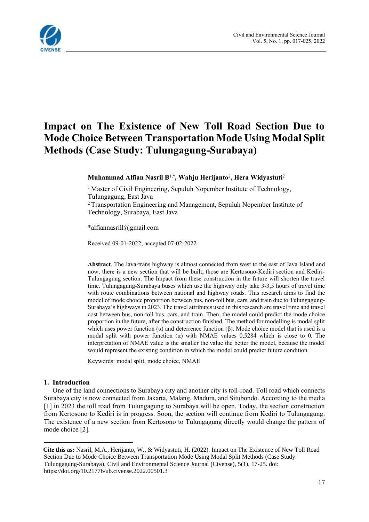

# **Impact on The Existence of New Toll Road Section Due to Mode Choice Between Transportation Mode Using Modal Split Methods (Case Study: Tulungagung-Surabaya)**

**Muhammad Alfian Nasril B**1,\***, Wahju Herijanto**<sup>2</sup> **, Hera Widyastuti**<sup>2</sup> 

<sup>1</sup> Master of Civil Engineering, Sepuluh Nopember Institute of Technology, Tulungagung, East Java <sup>2</sup> Transportation Engineering and Management, Sepuluh Nopember Institute of Technology, Surabaya, East Java

\*alfiannasrill@gmail.com

Received 09-01-2022; accepted 07-02-2022<sup>1</sup>

**Abstract**. The Java-trans highway is almost connected from west to the east of Java Island and now, there is a new section that will be built, those are Kertosono-Kediri section and Kediri-Tulungagung section. The Impact from these construction in the future will shorten the travel time. Tulungagung-Surabaya buses which use the highway only take 3-3,5 hours of travel time with route combinations between national and highway roads. This research aims to find the model of mode choice proportion between bus, non-toll bus, cars, and train due to Tulungagung-Surabaya's highways in 2023. The travel attributes used in this research are travel time and travel cost between bus, non-toll bus, cars, and train. Then, the model could predict the mode choice proportion in the future, after the construction finished. The method for modelling is modal split which uses power function  $(α)$  and deterrence function  $(β)$ . Mode choice model that is used is a modal split with power function ( $\alpha$ ) with NMAE values 0,5284 which is close to 0. The interpretation of NMAE value is the smaller the value the better the model, because the model would represent the existing condition in which the model could predict future condition.

Keywords: modal split, mode choice, NMAE

#### **1. Introduction**

One of the land connections to Surabaya city and another city is toll-road. Toll road which connects Surabaya city is now connected from Jakarta, Malang, Madura, and Situbondo. According to the media [1] in 2023 the toll road from Tulungagung to Surabaya will be open. Today, the section construction from Kertosono to Kediri is in progress. Soon, the section will continue from Kediri to Tulungagung. The existence of a new section from Kertosono to Tulungagung directly would change the pattern of mode choice [2].

<sup>1</sup> **Cite this as:** Nasril, M.A., Herijanto, W., & Widyastuti, H. (2022). Impact on The Existence of New Toll Road Section Due to Mode Choice Between Transportation Mode Using Modal Split Methods (Case Study: Tulungagung-Surabaya). Civil and Environmental Science Journal (Civense), 5(1), 17-25. doi: https://doi.org/10.21776/ub.civense.2022.00501.3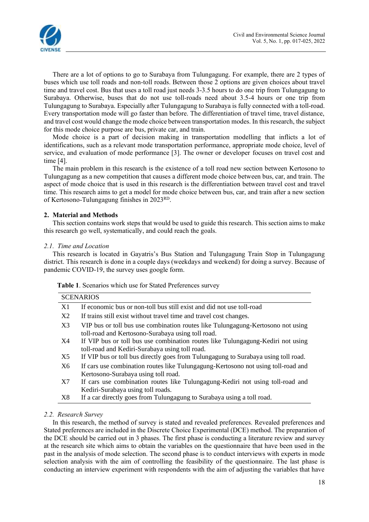

There are a lot of options to go to Surabaya from Tulungagung. For example, there are 2 types of buses which use toll roads and non-toll roads. Between those 2 options are given choices about travel time and travel cost. Bus that uses a toll road just needs 3-3.5 hours to do one trip from Tulungagung to Surabaya. Otherwise, buses that do not use toll-roads need about 3.5-4 hours or one trip from Tulungagung to Surabaya. Especially after Tulungagung to Surabaya is fully connected with a toll-road. Every transportation mode will go faster than before. The differentiation of travel time, travel distance, and travel cost would change the mode choice between transportation modes. In this research, the subject for this mode choice purpose are bus, private car, and train.

Mode choice is a part of decision making in transportation modelling that inflicts a lot of identifications, such as a relevant mode transportation performance, appropriate mode choice, level of service, and evaluation of mode performance [3]. The owner or developer focuses on travel cost and time [4].

The main problem in this research is the existence of a toll road new section between Kertosono to Tulungagung as a new competition that causes a different mode choice between bus, car, and train. The aspect of mode choice that is used in this research is the differentiation between travel cost and travel time. This research aims to get a model for mode choice between bus, car, and train after a new section of Kertosono-Tulungagung finishes in 2023RD.

### **2. Material and Methods**

This section contains work steps that would be used to guide this research. This section aims to make this research go well, systematically, and could reach the goals.

#### *2.1. Time and Location*

This research is located in Gayatris's Bus Station and Tulungagung Train Stop in Tulungagung district. This research is done in a couple days (weekdays and weekend) for doing a survey. Because of pandemic COVID-19, the survey uses google form.

|    | <b>SCENARIOS</b>                                                                                                                     |
|----|--------------------------------------------------------------------------------------------------------------------------------------|
| X1 | If economic bus or non-toll bus still exist and did not use toll-road                                                                |
| X2 | If trains still exist without travel time and travel cost changes.                                                                   |
| X3 | VIP bus or toll bus use combination routes like Tulungagung-Kertosono not using<br>toll-road and Kertosono-Surabaya using toll road. |
| X4 | If VIP bus or toll bus use combination routes like Tulungagung-Kediri not using<br>toll-road and Kediri-Surabaya using toll road.    |
| X5 | If VIP bus or toll bus directly goes from Tulungagung to Surabaya using toll road.                                                   |
| X6 | If cars use combination routes like Tulungagung-Kertosono not using toll-road and<br>Kertosono-Surabaya using toll road.             |
| X7 | If cars use combination routes like Tulungagung-Kediri not using toll-road and<br>Kediri-Surabaya using toll roads.                  |
| X8 | If a car directly goes from Tulungagung to Surabaya using a toll road.                                                               |

**Table 1**. Scenarios which use for Stated Preferences survey

## *2.2. Research Survey*

In this research, the method of survey is stated and revealed preferences. Revealed preferences and Stated preferences are included in the Discrete Choice Experimental (DCE) method. The preparation of the DCE should be carried out in 3 phases. The first phase is conducting a literature review and survey at the research site which aims to obtain the variables on the questionnaire that have been used in the past in the analysis of mode selection. The second phase is to conduct interviews with experts in mode selection analysis with the aim of controlling the feasibility of the questionnaire. The last phase is conducting an interview experiment with respondents with the aim of adjusting the variables that have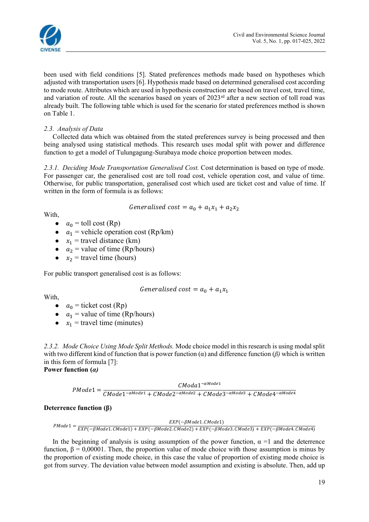

been used with field conditions [5]. Stated preferences methods made based on hypotheses which adjusted with transportation users [6]. Hypothesis made based on determined generalised cost according to mode route. Attributes which are used in hypothesis construction are based on travel cost, travel time, and variation of route. All the scenarios based on years of 2023<sup>rd</sup> after a new section of toll road was already built. The following table which is used for the scenario for stated preferences method is shown on Table 1.

## *2.3. Analysis of Data*

Collected data which was obtained from the stated preferences survey is being processed and then being analysed using statistical methods. This research uses modal split with power and difference function to get a model of Tulungagung-Surabaya mode choice proportion between modes.

*2.3.1. Deciding Mode Transportation Generalised Cost.* Cost determination is based on type of mode. For passenger car, the generalised cost are toll road cost, vehicle operation cost, and value of time. Otherwise, for public transportation, generalised cost which used are ticket cost and value of time. If written in the form of formula is as follows:

Generalised cost = 
$$
a_0 + a_1x_1 + a_2x_2
$$

With,

- $a_0$  = toll cost (Rp)
- $\bullet$   $a_1$  = vehicle operation cost (Rp/km)
- $x_1$  = travel distance (km)
- $a_2$  = value of time (Rp/hours)
- $x_2$  = travel time (hours)

For public transport generalised cost is as follows:

Generalised cost = 
$$
a_0 + a_1x_1
$$

With,

- $a_0$  = ticket cost (Rp)
- $a_1$  = value of time (Rp/hours)
- $x_1$  = travel time (minutes)

*2.3.2. Mode Choice Using Mode Split Methods.* Mode choice model in this research is using modal split with two different kind of function that is power function  $\alpha$ ) and difference function  $\beta$ ) which is written in this form of formula [7]: **Power function (***α)*

$$
PModel = \frac{CModa1^{-\alpha Model1}}{CMode1^{-\alpha Model1} + CMode2^{-\alpha Model2} + CMode3^{-\alpha Model3} + CMode4^{-\alpha Model4}}
$$

## **Deterrence function (β)**

$$
ENode1 = \frac{EXP(-\beta Model1. \textit{CModel})}{EXP(-\beta Model1. \textit{CModel}) + EXP(-\beta Model2. \textit{CModel2}) + EXP(-\beta Model3. \textit{CModel3}) + EXP(-\beta Model4. \textit{CModel})}
$$

In the beginning of analysis is using assumption of the power function,  $\alpha =1$  and the deterrence function, β = 0,00001. Then, the proportion value of mode choice with those assumption is minus by the proportion of existing mode choice, in this case the value of proportion of existing mode choice is got from survey. The deviation value between model assumption and existing is absolute. Then, add up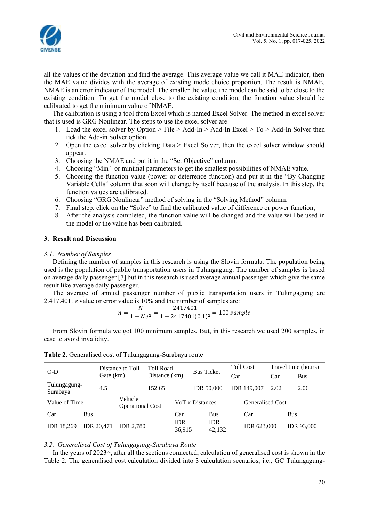

all the values of the deviation and find the average. This average value we call it MAE indicator, then the MAE value divides with the average of existing mode choice proportion. The result is NMAE. NMAE is an error indicator of the model. The smaller the value, the model can be said to be close to the existing condition. To get the model close to the existing condition, the function value should be calibrated to get the minimum value of NMAE.

The calibration is using a tool from Excel which is named Excel Solver. The method in excel solver that is used is GRG Nonlinear. The steps to use the excel solver are:

- 1. Load the excel solver by Option > File > Add-In > Add-In Excel > To > Add-In Solver then tick the Add-in Solver option.
- 2. Open the excel solver by clicking Data > Excel Solver, then the excel solver window should appear.
- 3. Choosing the NMAE and put it in the "Set Objective" column.
- 4. Choosing "Min '' or minimal parameters to get the smallest possibilities of NMAE value.
- 5. Choosing the function value (power or deterrence function) and put it in the "By Changing Variable Cells" column that soon will change by itself because of the analysis. In this step, the function values are calibrated.
- 6. Choosing "GRG Nonlinear" method of solving in the "Solving Method" column.
- 7. Final step, click on the "Solve" to find the calibrated value of difference or power function,
- 8. After the analysis completed, the function value will be changed and the value will be used in the model or the value has been calibrated.

#### **3. Result and Discussion**

#### *3.1. Number of Samples*

Defining the number of samples in this research is using the Slovin formula. The population being used is the population of public transportation users in Tulungagung. The number of samples is based on average daily passenger [7] but in this research is used average annual passenger which give the same result like average daily passenger.

The average of annual passenger number of public transportation users in Tulungagung are 2.417.401. *e* value or error value is 10% and the number of samples are:

$$
n = \frac{N}{1 + Ne^2} = \frac{2417401}{1 + 2417401(0.1)^2} = 100 \, sample
$$

From Slovin formula we got 100 minimum samples. But, in this research we used 200 samples, in case to avoid invalidity.

| $O-D$                    |                   | Distance to Toll                   | <b>Toll Road</b> |                      | <b>Bus Ticket</b> |                      | <b>Toll Cost</b>   |                  | Travel time (hours) |  |
|--------------------------|-------------------|------------------------------------|------------------|----------------------|-------------------|----------------------|--------------------|------------------|---------------------|--|
|                          |                   | Gate (km)                          |                  | Distance (km)        |                   |                      | Car                | Car              | <b>Bus</b>          |  |
| Tulungagung-<br>Surabaya | 4.5<br>152.65     |                                    |                  |                      | <b>IDR 50.000</b> | <b>IDR</b> 149,007   | 2.02               | 2.06             |                     |  |
| Value of Time            |                   | Vehicle<br><b>Operational Cost</b> |                  |                      | VoT x Distances   |                      |                    | Generalised Cost |                     |  |
| Car                      | <b>Bus</b>        |                                    |                  | Car                  |                   | <b>Bus</b>           | Car                |                  | Bus                 |  |
| <b>IDR</b> 18.269        | <b>IDR 20.471</b> | <b>IDR 2.780</b>                   |                  | <b>IDR</b><br>36,915 |                   | <b>IDR</b><br>42.132 | <b>IDR 623,000</b> |                  | <b>IDR 93,000</b>   |  |

**Table 2.** Generalised cost of Tulungagung-Surabaya route

#### *3.2. Generalised Cost of Tulungagung-Surabaya Route*

In the years of  $2023<sup>rd</sup>$ , after all the sections connected, calculation of generalised cost is shown in the Table 2. The generalised cost calculation divided into 3 calculation scenarios, i.e., GC Tulungagung-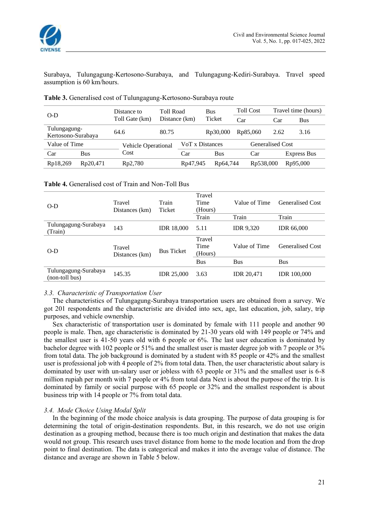

Surabaya, Tulungagung-Kertosono-Surabaya, and Tulungagung-Kediri-Surabaya. Travel speed assumption is 60 km/hours.

| $O-D$                              |            | Distance to                | <b>Toll Road</b><br>Distance (km) |                 | Bus                   | <b>Toll Cost</b> |                         | Travel time (hours) |  |
|------------------------------------|------------|----------------------------|-----------------------------------|-----------------|-----------------------|------------------|-------------------------|---------------------|--|
|                                    |            | Toll Gate (km)             |                                   |                 | Ticket                | Car              | Car                     | Bus                 |  |
| Tulungagung-<br>Kertosono-Surabaya |            | 64.6                       | 80.75                             |                 | R <sub>p</sub> 30,000 | Rp85,060         | 2.62                    | 3.16                |  |
| Value of Time                      |            | <b>Vehicle Operational</b> |                                   | VoT x Distances |                       |                  | <b>Generalised Cost</b> |                     |  |
| Car                                | <b>Bus</b> | Cost                       |                                   |                 | Bus                   | Car              |                         | <b>Express Bus</b>  |  |
| Rp18,269                           | Rp20,471   | Rp2,780                    |                                   | Rp47,945        | Rp64,744              | Rp538,000        |                         | Rp95,000            |  |

**Table 3.** Generalised cost of Tulungagung-Kertosono-Surabaya route

**Table 4.** Generalised cost of Train and Non-Toll Bus

| $O-D$                                  | Travel<br>Distances (km) | Train<br>Ticket   | Travel<br>Time<br>(Hours) | Value of Time     | Generalised Cost        |
|----------------------------------------|--------------------------|-------------------|---------------------------|-------------------|-------------------------|
|                                        |                          |                   | Train                     | Train             | Train                   |
| Tulungagung-Surabaya<br>(Train)        | 143                      | <b>IDR</b> 18,000 | 5.11                      | <b>IDR</b> 9,320  | <b>IDR 66,000</b>       |
| $O-D$                                  | Travel<br>Distances (km) | <b>Bus Ticket</b> | Travel<br>Time<br>(Hours) | Value of Time     | <b>Generalised Cost</b> |
|                                        |                          |                   | Bus                       | Bus               | Bus                     |
| Tulungagung-Surabaya<br>(non-toll bus) | 145.35                   | <b>IDR 25,000</b> | 3.63                      | <b>IDR 20,471</b> | <b>IDR</b> 100,000      |

#### *3.3. Characteristic of Transportation User*

The characteristics of Tulungagung-Surabaya transportation users are obtained from a survey. We got 201 respondents and the characteristic are divided into sex, age, last education, job, salary, trip purposes, and vehicle ownership.

Sex characteristic of transportation user is dominated by female with 111 people and another 90 people is male. Then, age characteristic is dominated by 21-30 years old with 149 people or 74% and the smallest user is 41-50 years old with 6 people or 6%. The last user education is dominated by bachelor degree with 102 people or 51% and the smallest user is master degree job with 7 people or 3% from total data. The job background is dominated by a student with 85 people or 42% and the smallest user is professional job with 4 people of 2% from total data. Then, the user characteristic about salary is dominated by user with un-salary user or jobless with 63 people or 31% and the smallest user is 6-8 million rupiah per month with 7 people or 4% from total data Next is about the purpose of the trip. It is dominated by family or social purpose with 65 people or 32% and the smallest respondent is about business trip with 14 people or 7% from total data.

## *3.4. Mode Choice Using Modal Split*

In the beginning of the mode choice analysis is data grouping. The purpose of data grouping is for determining the total of origin-destination respondents. But, in this research, we do not use origin destination as a grouping method, because there is too much origin and destination that makes the data would not group. This research uses travel distance from home to the mode location and from the drop point to final destination. The data is categorical and makes it into the average value of distance. The distance and average are shown in Table 5 below.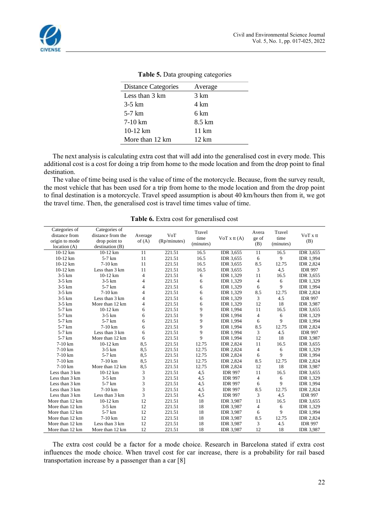

| Distance Categories | Average |
|---------------------|---------|
| Less than 3 km      | 3 km    |
| $3-5$ km            | 4 km    |
| 5-7 km              | 6 km    |
| $7-10 \text{ km}$   | 8.5 km  |
| $10-12 \text{ km}$  | 11 km   |
| More than 12 km     | 12 km   |

**Table 5.** Data grouping categories

The next analysis is calculating extra cost that will add into the generalised cost in every mode. This additional cost is a cost for doing a trip from home to the mode location and from the drop point to final destination.

The value of time being used is the value of time of the motorcycle. Because, from the survey result, the most vehicle that has been used for a trip from home to the mode location and from the drop point to final destination is a motorcycle. Travel speed assumption is about 40 km/hours then from it, we got the travel time. Then, the generalised cost is travel time times value of time.

| Categories of<br>distance from<br>origin to mode<br>location $(A)$ | Categories of<br>distance from the<br>drop point to<br>destination(B) | Average<br>of $(A)$ | VoT<br>(Rp/minutes) | Travel<br>time<br>(minutes) | $VoT x$ tt $(A)$ | Avera<br>ge of<br>(B) | Travel<br>time<br>(minutes) | VoT x tt<br>(B)  |
|--------------------------------------------------------------------|-----------------------------------------------------------------------|---------------------|---------------------|-----------------------------|------------------|-----------------------|-----------------------------|------------------|
| $10-12$ km                                                         | 10-12 km                                                              | 11                  | 221.51              | 16.5                        | IDR 3,655        | 11                    | 16.5                        | <b>IDR 3,655</b> |
| 10-12 km                                                           | $5-7$ km                                                              | 11                  | 221.51              | 16.5                        | <b>IDR 3,655</b> | 6                     | 9                           | <b>IDR 1,994</b> |
| 10-12 km                                                           | $7-10$ km                                                             | 11                  | 221.51              | 16.5                        | <b>IDR 3.655</b> | 8.5                   | 12.75                       | <b>IDR 2,824</b> |
| 10-12 km                                                           | Less than 3 km                                                        | 11                  | 221.51              | 16.5                        | <b>IDR 3,655</b> | 3                     | 4,5                         | <b>IDR 997</b>   |
| $3-5$ km                                                           | 10-12 km                                                              | 4                   | 221.51              | 6                           | <b>IDR</b> 1.329 | 11                    | 16.5                        | <b>IDR 3,655</b> |
| $3-5$ km                                                           | $3-5$ km                                                              | 4                   | 221.51              | 6                           | <b>IDR</b> 1,329 | $\overline{4}$        | 6                           | <b>IDR</b> 1,329 |
| $3-5$ km                                                           | $5-7$ km                                                              | 4                   | 221.51              | 6                           | <b>IDR 1,329</b> | 6                     | 9                           | <b>IDR 1,994</b> |
| $3-5$ km                                                           | $7-10$ km                                                             | $\overline{4}$      | 221.51              | 6                           | <b>IDR</b> 1,329 | 8.5                   | 12.75                       | <b>IDR 2,824</b> |
| $3-5$ km                                                           | Less than 3 km                                                        | 4                   | 221.51              | 6                           | <b>IDR</b> 1,329 | 3                     | 4.5                         | <b>IDR 997</b>   |
| $3-5$ km                                                           | More than 12 km                                                       | 4                   | 221.51              | 6                           | <b>IDR</b> 1,329 | 12                    | 18                          | <b>IDR 3,987</b> |
| $5-7$ km                                                           | $10-12$ km                                                            | 6                   | 221.51              | 9                           | <b>IDR 1,994</b> | 11                    | 16.5                        | <b>IDR 3,655</b> |
| $5-7$ km                                                           | $3-5$ km                                                              | 6                   | 221.51              | 9                           | <b>IDR 1,994</b> | $\overline{4}$        | 6                           | <b>IDR</b> 1,329 |
| $5-7$ km                                                           | $5-7$ km                                                              | 6                   | 221.51              | 9                           | <b>IDR 1,994</b> | 6                     | 9                           | <b>IDR 1,994</b> |
| $5-7$ km                                                           | $7-10$ km                                                             | 6                   | 221.51              | 9                           | <b>IDR</b> 1.994 | 8.5                   | 12.75                       | <b>IDR 2.824</b> |
| $5-7$ km                                                           | Less than 3 km                                                        | 6                   | 221.51              | 9                           | <b>IDR</b> 1,994 | 3                     | 4.5                         | <b>IDR 997</b>   |
| $5-7$ km                                                           | More than 12 km                                                       | 6                   | 221.51              | $\mathbf{Q}$                | <b>IDR 1,994</b> | 12                    | 18                          | <b>IDR 3,987</b> |
| $7-10$ km                                                          | 10-12 km                                                              | 8,5                 | 221.51              | 12.75                       | <b>IDR 2,824</b> | 11                    | 16.5                        | <b>IDR 3,655</b> |
| $7-10$ km                                                          | $3-5$ km                                                              | 8,5                 | 221.51              | 12.75                       | <b>IDR 2,824</b> | $\overline{4}$        | 6                           | <b>IDR</b> 1,329 |
| 7-10 km                                                            | $5-7$ km                                                              | 8,5                 | 221.51              | 12.75                       | <b>IDR 2,824</b> | 6                     | 9                           | <b>IDR 1,994</b> |
| $7-10$ km                                                          | $7-10$ km                                                             | 8,5                 | 221.51              | 12.75                       | <b>IDR 2,824</b> | 8.5                   | 12.75                       | <b>IDR 2,824</b> |
| $7-10$ km                                                          | More than 12 km                                                       | 8,5                 | 221.51              | 12.75                       | <b>IDR 2,824</b> | 12                    | 18                          | <b>IDR 3,987</b> |
| Less than 3 km                                                     | 10-12 km                                                              | 3                   | 221.51              | 4,5                         | <b>IDR 997</b>   | 11                    | 16.5                        | <b>IDR</b> 3,655 |
| Less than 3 km                                                     | $3-5$ km                                                              | 3                   | 221.51              | 4,5                         | <b>IDR 997</b>   | $\overline{4}$        | 6                           | <b>IDR</b> 1,329 |
| Less than 3 km                                                     | $5-7$ km                                                              | 3                   | 221.51              | 4,5                         | <b>IDR 997</b>   | 6                     | 9                           | <b>IDR</b> 1,994 |
| Less than 3 km                                                     | $7-10$ km                                                             | 3                   | 221.51              | 4,5                         | <b>IDR 997</b>   | 8.5                   | 12.75                       | <b>IDR 2,824</b> |
| Less than 3 km                                                     | Less than 3 km                                                        | 3                   | 221.51              | 4,5                         | <b>IDR 997</b>   | 3                     | 4,5                         | <b>IDR 997</b>   |
| More than 12 km                                                    | $10-12$ km                                                            | 12                  | 221.51              | 18                          | <b>IDR 3,987</b> | 11                    | 16.5                        | <b>IDR 3,655</b> |
| More than 12 km                                                    | $3-5$ km                                                              | 12                  | 221.51              | 18                          | <b>IDR 3,987</b> | $\overline{4}$        | 6                           | <b>IDR</b> 1,329 |
| More than 12 km                                                    | $5-7$ km                                                              | 12                  | 221.51              | 18                          | <b>IDR 3,987</b> | 6                     | 9                           | <b>IDR</b> 1,994 |
| More than 12 km                                                    | $7-10$ km                                                             | 12                  | 221.51              | 18                          | <b>IDR 3,987</b> | 8.5                   | 12.75                       | <b>IDR 2,824</b> |
| More than 12 km                                                    | Less than 3 km                                                        | 12                  | 221.51              | 18                          | <b>IDR 3,987</b> | 3                     | 4.5                         | <b>IDR 997</b>   |
| More than 12 km                                                    | More than 12 km                                                       | 12                  | 221.51              | 18                          | <b>IDR 3,987</b> | 12                    | 18                          | <b>IDR 3,987</b> |

**Table 6.** Extra cost for generalised cost

The extra cost could be a factor for a mode choice. Research in Barcelona stated if extra cost influences the mode choice. When travel cost for car increase, there is a probability for rail based transportation increase by a passenger than a car [8]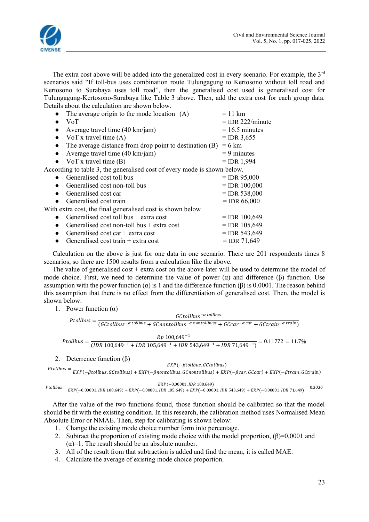

The extra cost above will be added into the generalized cost in every scenario. For example, the  $3<sup>rd</sup>$ scenarios said "If toll-bus uses combination route Tulungagung to Kertosono without toll road and Kertosono to Surabaya uses toll road", then the generalised cost used is generalised cost for Tulungagung-Kertosono-Surabaya like Table 3 above. Then, add the extra cost for each group data. Details about the calculation are shown below.

| The average origin to the mode location (A)                              | $= 11$ km          |
|--------------------------------------------------------------------------|--------------------|
| <b>VoT</b>                                                               | $=$ IDR 222/minute |
| Average travel time $(40 \text{ km/jam})$                                | $= 16.5$ minutes   |
| VoT x travel time $(A)$                                                  | $=$ IDR 3,655      |
| The average distance from drop point to destination (B)                  | $= 6 \text{ km}$   |
| Average travel time (40 km/jam)                                          | $= 9$ minutes      |
| • VoT x travel time $(B)$                                                | $=$ IDR 1,994      |
| According to table 3, the generalised cost of every mode is shown below. |                    |
| Generalised cost toll bus                                                | $=$ IDR 95,000     |
| Generalised cost non-toll bus                                            | $=$ IDR 100,000    |
| Generalised cost car                                                     | $=$ IDR 538,000    |
| Generalised cost train                                                   | $=$ IDR 66,000     |
| With extra cost, the final generalised cost is shown below               |                    |
| Generalised cost toll bus $+$ extra cost                                 | $=$ IDR 100,649    |
| Generalised cost non-toll bus $+$ extra cost                             | $=$ IDR 105,649    |
| Generalised cost car $+$ extra cost                                      | $=$ IDR 543,649    |
| Generalised cost train $+$ extra cost                                    | $=$ IDR 71,649     |
|                                                                          |                    |

Calculation on the above is just for one data in one scenario. There are 201 respondents times 8 scenarios, so there are 1500 results from a calculation like the above.

The value of generalised cost  $+$  extra cost on the above later will be used to determine the model of mode choice. First, we need to determine the value of power  $(\alpha)$  and difference  $(\beta)$  function. Use assumption with the power function (α) is 1 and the difference function (β) is 0.0001. The reason behind this assumption that there is no effect from the differentiation of generalised cost. Then, the model is shown below.

1. Power function  $(\alpha)$ 

Ptollbus =  $\frac{1}{(GC$ tollbus<sup>-a tollbus</sup> +  $G$ Cnontollbus<sup>-a nontollbuss</sup> +  $G$ Ccar<sup>-a car</sup> +  $G$ Ctrain<sup>-a train</sup>)  $GC$ tollbus $^{-\alpha}$ tollbus

 $P$  tollbus =  $\frac{Rp 100,649^{-1}}{(100.649^{-1} + 100.649^{-1} + 100.649^{-1} + 100.649^{-1} + 100.649^{-1} + 100.649^{-1} + 100.649^{-1} + 100.649^{-1} + 100.649^{-1} + 100.649^{-1} + 100.649^{-1} + 100.649^{-1} + 100.649^{-1} + 100.649^{-1} + 100.649^{-1} + 100.649^{-1}$  $\frac{1}{(1DR\ 100,649^{-1} + IDR\ 105,649^{-1} + IDR\ 543,649^{-1} + IDR\ 71,649^{-1})} = 0.11772 = 11.7\%$ 

2. Deterrence function (β)

```
\label{eq:2} \textit{Ptollbus} = \frac{1}{\textit{EXP}(-\beta \textit{tollbus}.\,\textit{GCtollbus}) + \textit{EXP}(-\beta \textit{nontollbus}.\,\textit{GCnontollbus}) + \textit{EXP}(-\beta \textit{car}.\,\textit{GCcar}) + \textit{EXP}(-\beta \textit{train}.\,\textit{GCtrain}) }EXP(-\beta to llbus.GC to llbus)
```

```
[PolBus = \frac{EXP(-0.00001. IDR 100,649) + EXP(-0.00001. IDR 105,649) + EXP(-0.00001. IDR 543,649) + EXP(-0.00001. IDR 71,649)}{ENPC(-0.00001. IDR 105,649) + EXP(-0.00001. IDR 543,649) + EXP(-0.00001. IDR 71,649)}EXP(-0.00001.IDR 100,649)
```
After the value of the two functions found, those function should be calibrated so that the model should be fit with the existing condition. In this research, the calibration method uses Normalised Mean Absolute Error or NMAE. Then, step for calibrating is shown below:

- 1. Change the existing mode choice number form into percentage.
- 2. Subtract the proportion of existing mode choice with the model proportion,  $(\beta)=0,0001$  and  $(\alpha)=1$ . The result should be an absolute number.
- 3. All of the result from that subtraction is added and find the mean, it is called MAE.
- 4. Calculate the average of existing mode choice proportion.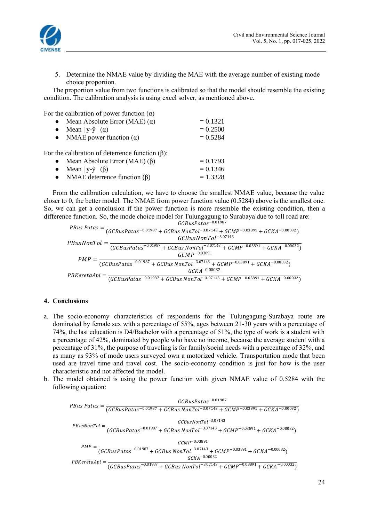

5. Determine the NMAE value by dividing the MAE with the average number of existing mode choice proportion.

The proportion value from two functions is calibrated so that the model should resemble the existing condition. The calibration analysis is using excel solver, as mentioned above.

For the calibration of power function  $(\alpha)$ 

| • Mean Absolute Error (MAE) $(\alpha)$                 | $= 0.1321$ |
|--------------------------------------------------------|------------|
| Mean   y- $\hat{y}$   ( $\alpha$ )                     | $= 0.2500$ |
| • NMAE power function $(\alpha)$                       | $= 0.5284$ |
| For the calibration of deterrence function $(\beta)$ : |            |
| • Mean Absolute Error (MAE) $(\beta)$                  | $= 0.1793$ |
| Mean   y- $\hat{y}$   ( $\beta$ )                      | $= 0.1346$ |
| • NMAE deterrence function $(\beta)$                   | $= 1.3328$ |

From the calibration calculation, we have to choose the smallest NMAE value, because the value closer to 0, the better model. The NMAE from power function value (0.5284) above is the smallest one. So, we can get a conclusion if the power function is more resemble the existing condition, then a difference function. So, the mode choice model for Tulungagung to Surabaya due to toll road are:

| $GCBusPatas^{-0.01987}$                                                                                                                                                                            |
|----------------------------------------------------------------------------------------------------------------------------------------------------------------------------------------------------|
| PBus Patas = $\frac{1}{(GCBusPatas^{-0.01987} + GCBusNonTol^{-3.07143} + GCMP^{-0.03891} + GCKA^{-0.00032})}$                                                                                      |
| $GCBusNonTol^{-3.07143}$                                                                                                                                                                           |
| $\small \label{eq:2} PBusNonTol = \frac{1}{(GCBusPatas^{-0.01987} + GCBusNonTol^{-3.07143} + GCMP^{-0.03891} + GCKA^{-0.00032})}$                                                                  |
| $GCMP^{-0.03891}$                                                                                                                                                                                  |
| $\label{eq:pm} PMP = \frac{1}{(GCBusPatas^{-0.01987} + GCBus\,NonTol^{-3.07143} + GCMP^{-0.03891} + GCKA^{-0.00032})}$                                                                             |
| $GCKA^{-0.00032}$                                                                                                                                                                                  |
| $PBKeretaApi = \frac{GCBusPatas^{-0.01987} + GCBus NonTol^{-3.07143} + GCMP^{-0.03891} + GCKA^{-0.00032})}{(GCBusPatas^{-0.01987} + GCBus NonTol^{-3.07143} + GCMP^{-0.03891} + GCKA^{-0.00032})}$ |

#### **4. Conclusions**

- a. The socio-economy characteristics of respondents for the Tulungagung-Surabaya route are dominated by female sex with a percentage of 55%, ages between 21-30 years with a percentage of 74%, the last education is D4/Bachelor with a percentage of 51%, the type of work is a student with a percentage of 42%, dominated by people who have no income, because the average student with a percentage of 31%, the purpose of traveling is for family/social needs with a percentage of 32%, and as many as 93% of mode users surveyed own a motorized vehicle. Transportation mode that been used are travel time and travel cost. The socio-economy condition is just for how is the user characteristic and not affected the model.
- b. The model obtained is using the power function with given NMAE value of 0.5284 with the following equation:

 = −0.01987 (−0.01987 + −3.07143 + −0.03891 + −0.00032) = −3,07143 (−0.01987 + −3.07143 + −0.03891 + −0.00032) = −0,03891 (−0.01987 + −3.07143 + −0.03891 + −0.00032) = <sup>−</sup>0,00032 (−0.01987 + −3.07143 + −0.03891 + −0.00032)